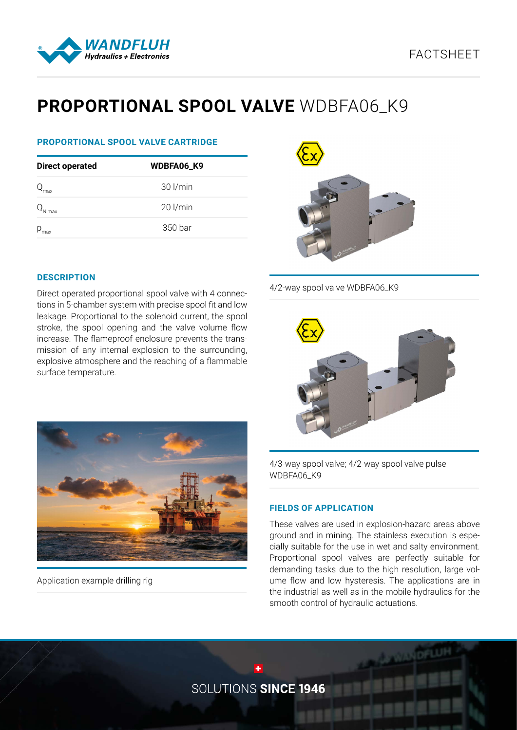



# **PROPORTIONAL SPOOL VALVE** WDBFA06\_K9

# **PROPORTIONAL SPOOL VALVE CARTRIDGE**

| <b>Direct operated</b> | WDBFA06_K9 |  |  |
|------------------------|------------|--|--|
|                        | 30 l/min   |  |  |
| l max                  | $20$ l/min |  |  |
| $P_{\text{max}}$       | 350 bar    |  |  |



4/2-way spool valve WDBFA06\_K9



# leakage. Proportional to the solenoid current, the spool

**DESCRIPTION**

stroke, the spool opening and the valve volume flow increase. The flameproof enclosure prevents the transmission of any internal explosion to the surrounding, explosive atmosphere and the reaching of a flammable surface temperature.

Direct operated proportional spool valve with 4 connections in 5-chamber system with precise spool fit and low



Application example drilling rig

4/3-way spool valve; 4/2-way spool valve pulse WDBFA06\_K9

# **FIELDS OF APPLICATION**

These valves are used in explosion-hazard areas above ground and in mining. The stainless execution is especially suitable for the use in wet and salty environment. Proportional spool valves are perfectly suitable for demanding tasks due to the high resolution, large volume flow and low hysteresis. The applications are in the industrial as well as in the mobile hydraulics for the smooth control of hydraulic actuations.